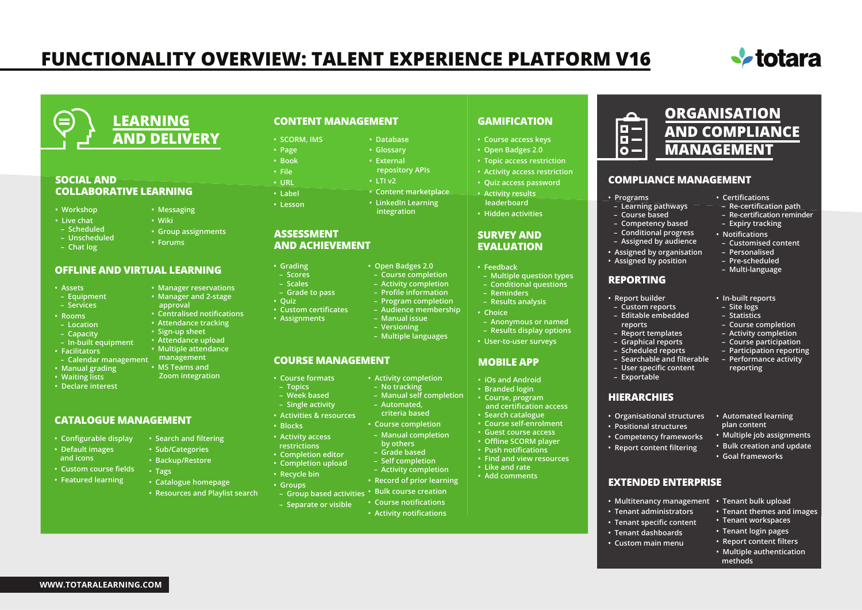# **FUNCTIONALITY OVERVIEW: TALENT EXPERIENCE PLATFORM V16**



**ORGANISATION AND COMPLIANCE**

**MANAGEMENT**

**• Certifications – Re-certification path – Re-certification reminder – Expiry tracking • Notifications – Customised content – Personalised – Pre-scheduled – Multi-language**

**• In-built reports – Site logs – Statistics – Course completion – Activity completion – Course participation – Participation reporting – Performance activity reporting**

**• Automated learning plan content**

**• Multiple job assignments • Bulk creation and update • Goal frameworks**

**• Tenant themes and images • Tenant workspaces • Tenant login pages • Report content filters • Multiple authentication** 

 **methods**



#### **SOCIAL AND COLLABORATIVE LEARNING**

- **Workshop**
- **Live chat**
- **Scheduled**
- **Unscheduled**
- **Chat log**
- **Group assignments • Forums**

**• Messaging • Wiki**

- **OFFLINE AND VIRTUAL LEARNING**
- **Assets**
- **Equipment**
- **Services**
- **Rooms**
- **Location**
- **Capacity**
- **In-built equipment**
- **Facilitators**
- 
- **Manual grading**
- **Waiting lists**
- **Declare interest**

#### **CATALOGUE MANAGEMENT**

- **Configurable display**
- **Default images and icons**
- **Custom course fields**
- **Featured learning**

**WWW.TOTARALEARNING.COM**

- **Manager reservations**
- **Manager and 2-stage approval**
	- **Centralised notifications**
- **Attendance tracking**
- **Sign-up sheet**
- **Attendance upload**
- **Multiple attendance**
- **Calendar management management**
	- **MS Teams and Zoom integration**
	-
	-
	- **Search and filtering**
	- **Sub/Categories**
	- **Backup/Restore**
	- **Tags**
	- **Catalogue homepage**
	- **Resources and Playlist search**

### **CONTENT MANAGEMENT**

- **Database**
	- **Glossary**
		- **External**
		- **repository APIs • LTI v2**
		- **Content marketplace**
		- **LinkedIn Learning integration**

#### **ASSESSMENT AND ACHIEVEMENT**

**• Grading – Scores – Scales – Grade to pass**

**• SCORM, IMS • Page • Book • File • URL • Label • Lesson**

**• Quiz**

**• Blocks • Activity access**

- **Open Badges 2.0**
- **Course completion** 
	- **Activity completion – Profile information**
	- **Program completion**
	- **Audience membership**
	- **Manual issue**
- -

## **COURSE MANAGEMENT**

- **Course formats**
- **Topics – Week based**

**• Custom certificates • Assignments**

- **Single activity**
- **Activities & resources**
	- - **by others**
- **restrictions • Completion editor**
- **Completion upload**
- **Recycle bin**
- **Groups**

 **– Separate or visible**

**• Course notifications** 

- **GAMIFICATION**
- 
- **Open Badges 2.0**
- **Topic access restriction**
- **Activity access restriction**
- **Quiz access password • Activity results**
- **leaderboard • Hidden activities**

#### **SURVEY AND EVALUATION**

- **Feedback**
- **Multiple question types – Conditional questions**
- **Reminders – Results analysis**

**• iOs and Android • Branded login • Course, program and certification access • Search catalogue • Course self-enrolment • Guest course access • Offline SCORM player • Push notifications • Find and view resources**

**MOBILE APP**

 **– Anonymous or named – Results display options • User-to-user surveys**

> **• Organisational structures • Positional structures • Competency frameworks • Report content filtering**

**EXTENDED ENTERPRISE**

**• Tenant administrators • Tenant specific content • Tenant dashboards • Custom main menu**

**• Multitenancy management • Tenant bulk upload**

**HIERARCHIES**

**• Report builder – Custom reports – Editable embedded reports – Report templates – Graphical reports – Scheduled reports – Searchable and filterable – User specific content – Exportable**

**REPORTING**

**• Programs**

o — 6- $\Omega$  –

 **– Learning pathways – Course based – Competency based – Conditional progress – Assigned by audience • Assigned by organisation • Assigned by position**

**COMPLIANCE MANAGEMENT**

- **Choice**
- 
- **Versioning**
- **Multiple languages**
- - **Activity completion**
		- **No tracking – Manual self completion**
			- **Automated,**
				- **criteria based • Course completion**
				- **Manual completion**
				-
				- **Grade based – Self completion**
				- **Activity completion • Like and rate • Add comments**
				- **Record of prior learning**

## **• Bulk course creation – Group based activities**

**• Activity notifications**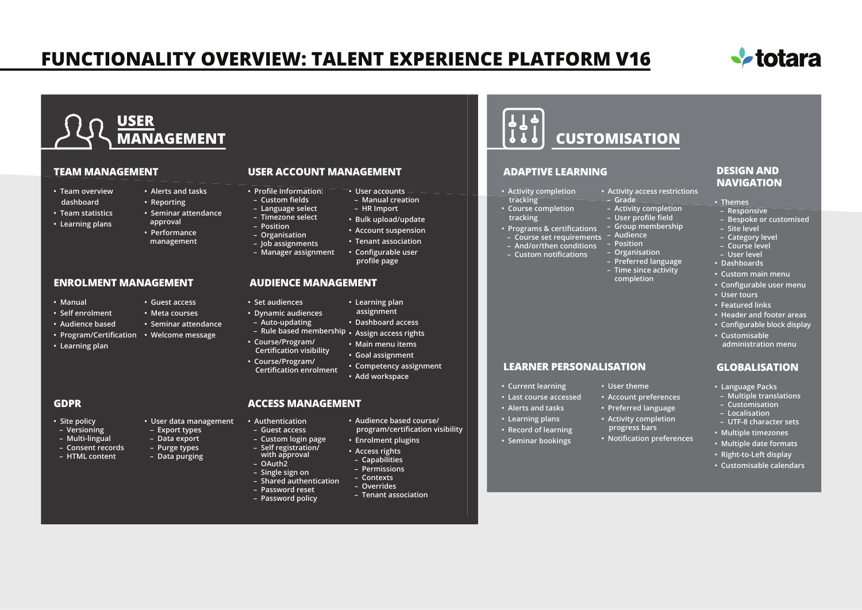## **FUNCTIONALITY OVERVIEW: TALENT EXPERIENCE PLATFORM V16**



## **USER MANAGEMENT**

#### **TEAM MANAGEMENT**

- **Team overview dashboard**
- **Team statistics**
- **Learning plans**
- **Reporting • Seminar attendance approval**
	-

**• Guest access • Meta courses • Seminar attendance**

**• User data management – Export types – Data export – Purge types – Data purging**

**• Alerts and tasks** 

- **Performance management**
	- **Job assignments – Manager assignment**

#### **ENROLMENT MANAGEMENT**

- **Manual**
- **Self enrolment**
- **Audience based**
- **Welcome message Program/Certification**
- **Learning plan**

#### **GDPR**

- **Site policy**
- **Versioning**
- **Multi-lingual**
- **Consent records**
- **HTML content**

#### **USER ACCOUNT MANAGEMENT**

- **User accounts • Profile Information: – Custom fields**
	- **Manual creation – HR Import** 
		- **Bulk upload/update**
		- **Account suspension**
		- **Tenant association**
		- **Configurable user profile page**

#### **AUDIENCE MANAGEMENT**

 **– Language select – Timezone select – Position – Organisation** 

**• Set audiences**

 **– Auto-updating**

**• Course/Program/**

**• Course/Program/**

**• Authentication – Guest access – Custom login page – Self registration/ with approval – OAuth2 – Single sign on**

 **– Password reset – Password policy**

- **Learning plan**
- **Dynamic audiences assignment**
	- **Dashboard access**
- **Rule based membership Assign access rights**
- **Certification visibility • Main menu items**
	- **Goal assignment**
- **Certification enrolment • Competency assignment • Add workspace**

#### **ACCESS MANAGEMENT**

- - **Audience based course/ program/certification visibility**
		- **Enrolment plugins**
	- **Access rights**
	- **Capabilities**
	- **Permissions**
	- **Contexts**
- **Shared authentication – Overrides**
	- **Tenant association**

# **CUSTOMISATION**

#### **ADAPTIVE LEARNING**

#### **• Activity completion**

- **tracking • Course completion**
- **tracking**
- **Programs & certifications**
- **Audience Course set requirements**
- **And/or/then conditions**
- **Custom notifications**
	- **Preferred language**

 **– Position – Organisation**

 **– Grade**

 **– Time since activity completion**

**• Activity access restrictions**

 **– Activity completion – User profile field – Group membership**

#### **DESIGN AND NAVIGATION**

- **Themes**
- **Responsive**
- **Bespoke or customised**
- **Site level**
- **Category level**
- **Course level**
- **User level**
- **Dashboards**
- **Custom main menu**
- **Configurable user menu**
- **User tours**
- **Featured links**
- **Header and footer areas • Configurable block display**
- **Customisable administration menu**

#### **GLOBALISATION**

- **Language Packs**
- **Multiple translations – Customisation**
- **Localisation**
- **UTF-8 character sets**
- **Multiple timezones**
- **Multiple date formats**
- **Right-to-Left display**
- **Customisable calendars**
- **Account preferences • Preferred language**
	- **Activity completion**

**• User theme**

- **progress bars**
	-
- **Alerts and tasks**
- **Record of learning**
- 
- **Learning plans**
	-

**LEARNER PERSONALISATION**

- **Notification preferences**
- **Current learning • Last course accessed** 
	- -
	- **Seminar bookings**
-